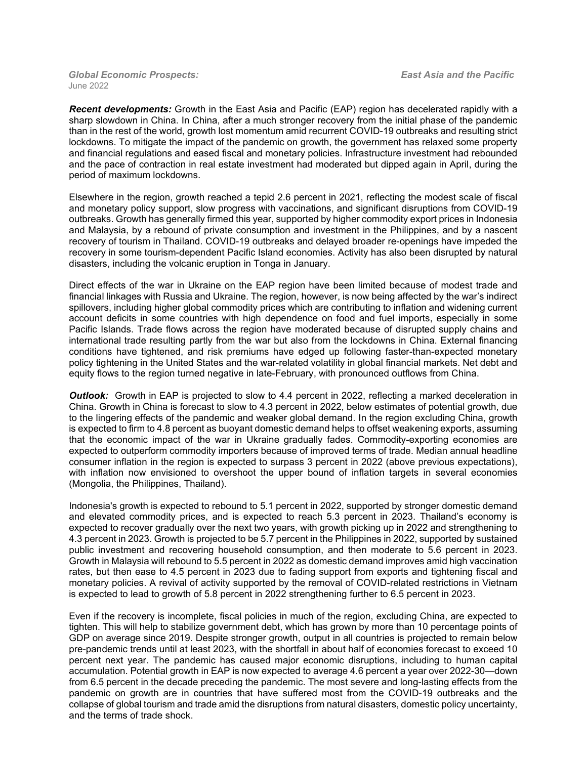*Global Economic Prospects: East Asia and the Pacific* June 2022

*Recent developments:* Growth in the East Asia and Pacific (EAP) region has decelerated rapidly with a sharp slowdown in China. In China, after a much stronger recovery from the initial phase of the pandemic than in the rest of the world, growth lost momentum amid recurrent COVID-19 outbreaks and resulting strict lockdowns. To mitigate the impact of the pandemic on growth, the government has relaxed some property and financial regulations and eased fiscal and monetary policies. Infrastructure investment had rebounded and the pace of contraction in real estate investment had moderated but dipped again in April, during the period of maximum lockdowns.

Elsewhere in the region, growth reached a tepid 2.6 percent in 2021, reflecting the modest scale of fiscal and monetary policy support, slow progress with vaccinations, and significant disruptions from COVID-19 outbreaks. Growth has generally firmed this year, supported by higher commodity export prices in Indonesia and Malaysia, by a rebound of private consumption and investment in the Philippines, and by a nascent recovery of tourism in Thailand. COVID-19 outbreaks and delayed broader re-openings have impeded the recovery in some tourism-dependent Pacific Island economies. Activity has also been disrupted by natural disasters, including the volcanic eruption in Tonga in January.

Direct effects of the war in Ukraine on the EAP region have been limited because of modest trade and financial linkages with Russia and Ukraine. The region, however, is now being affected by the war's indirect spillovers, including higher global commodity prices which are contributing to inflation and widening current account deficits in some countries with high dependence on food and fuel imports, especially in some Pacific Islands. Trade flows across the region have moderated because of disrupted supply chains and international trade resulting partly from the war but also from the lockdowns in China. External financing conditions have tightened, and risk premiums have edged up following faster-than-expected monetary policy tightening in the United States and the war-related volatility in global financial markets. Net debt and equity flows to the region turned negative in late-February, with pronounced outflows from China.

**Outlook:** Growth in EAP is projected to slow to 4.4 percent in 2022, reflecting a marked deceleration in China. Growth in China is forecast to slow to 4.3 percent in 2022, below estimates of potential growth, due to the lingering effects of the pandemic and weaker global demand. In the region excluding China, growth is expected to firm to 4.8 percent as buoyant domestic demand helps to offset weakening exports, assuming that the economic impact of the war in Ukraine gradually fades. Commodity-exporting economies are expected to outperform commodity importers because of improved terms of trade. Median annual headline consumer inflation in the region is expected to surpass 3 percent in 2022 (above previous expectations), with inflation now envisioned to overshoot the upper bound of inflation targets in several economies (Mongolia, the Philippines, Thailand).

Indonesia's growth is expected to rebound to 5.1 percent in 2022, supported by stronger domestic demand and elevated commodity prices, and is expected to reach 5.3 percent in 2023. Thailand's economy is expected to recover gradually over the next two years, with growth picking up in 2022 and strengthening to 4.3 percent in 2023. Growth is projected to be 5.7 percent in the Philippines in 2022, supported by sustained public investment and recovering household consumption, and then moderate to 5.6 percent in 2023. Growth in Malaysia will rebound to 5.5 percent in 2022 as domestic demand improves amid high vaccination rates, but then ease to 4.5 percent in 2023 due to fading support from exports and tightening fiscal and monetary policies. A revival of activity supported by the removal of COVID-related restrictions in Vietnam is expected to lead to growth of 5.8 percent in 2022 strengthening further to 6.5 percent in 2023.

Even if the recovery is incomplete, fiscal policies in much of the region, excluding China, are expected to tighten. This will help to stabilize government debt, which has grown by more than 10 percentage points of GDP on average since 2019. Despite stronger growth, output in all countries is projected to remain below pre-pandemic trends until at least 2023, with the shortfall in about half of economies forecast to exceed 10 percent next year. The pandemic has caused major economic disruptions, including to human capital accumulation. Potential growth in EAP is now expected to average 4.6 percent a year over 2022-30—down from 6.5 percent in the decade preceding the pandemic. The most severe and long-lasting effects from the pandemic on growth are in countries that have suffered most from the COVID-19 outbreaks and the collapse of global tourism and trade amid the disruptions from natural disasters, domestic policy uncertainty, and the terms of trade shock.